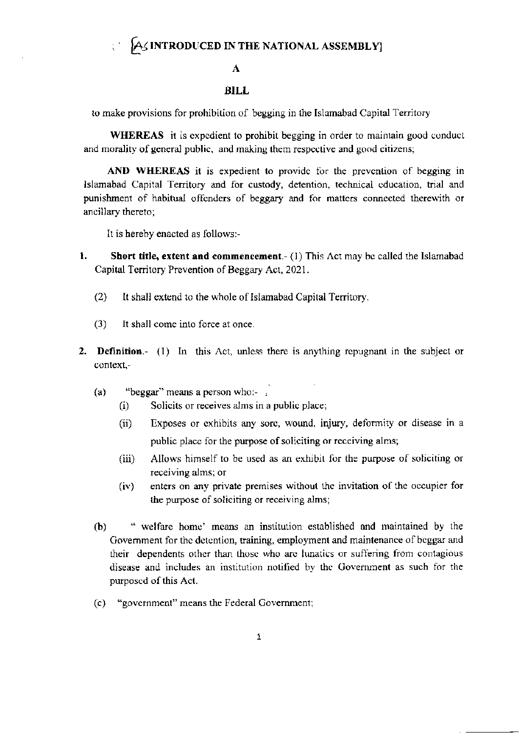## A

## **BILL**

to make provisions for prohibition of begging in the Islamabad Capital Territory

**WHEREAS** it is expedient to prohibit begging in order to maintain good conduct and morality of general public, and making them respective and good citizens;

AND WHEREAS it is expedient to provide for the prevention of begging in Islamabad Capital Territory and for custody, detention, technical education, trial and punishment of habitual offenders of beggary and for matters connected therewith or ancillary thereto;

It is hereby enacted as follows:-

- 1. **Short title, extent and commencement**.  $(1)$  This Act may be called the Islamabad Capital Territory Prevention of Beggary Act, 2021.
	- $(2)$ It shall extend to the whole of Islamabad Capital Territory.
	- It shall come into force at once.  $(3)$
- 2. Definition.- (1) In this Act, unless there is anything repugnant in the subject or context,-
	- $(a)$ "beggar" means a person who:- $\frac{1}{2}$ 
		- Solicits or receives alms in a public place;  $(i)$
		- Exposes or exhibits any sore, wound, injury, deformity or disease in a  $(ii)$ public place for the purpose of soliciting or receiving alms;
		- $(iii)$ Allows himself to be used as an exhibit for the purpose of soliciting or receiving alms; or
		- enters on any private premises without the invitation of the occupier for  $(iv)$ the purpose of soliciting or receiving alms;
	- $(b)$ " welfare home' means an institution established and maintained by the Government for the detention, training, employment and maintenance of beggar and their dependents other than those who are lunatics or suffering from contagious disease and includes an institution notified by the Government as such for the purposed of this Act.
	- (c) "government" means the Federal Government;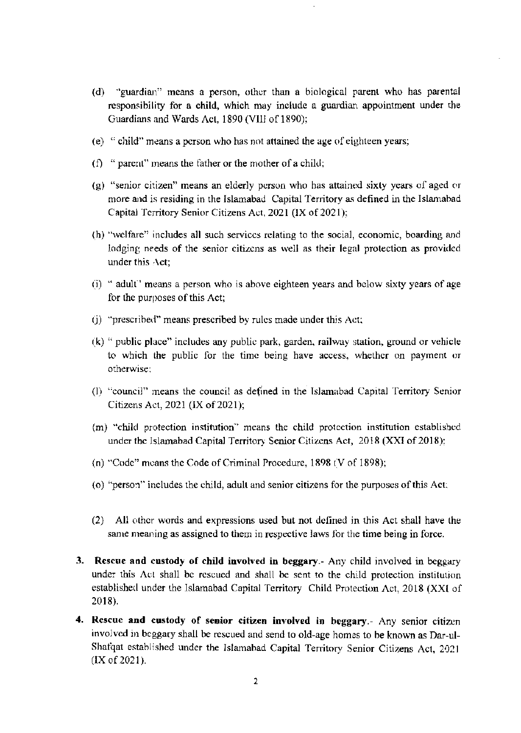- $(d)$  "guardian" means a person, other than a biological parent who has parental responsibility for a child, which may include a guardian appointment under the Guardians and Wards Act, 1890 (VIII of 1890);
- (e)  $\degree$  child" means a person who has not attained the age of eighteen years;
- (f) " parent" means the father or the mother of a child;
- $(g)$  "senior citizen" means an elderly person who has attained sixty years of aged or more ard is residing in the Islamabad Capital Territory as defined in the Islamabad Capital Territory Senior Citizens Act, 2021 (IX of 2021);
- $(h)$  "welfare" includes all such services relating to the social, economic, boarding and lodging needs of the senior citizens as well as their legal protection as provided under this Act;
- (i) " adult" means a person who is above eighteen years and below sixty years of age for the purposes of this Act;
- (j) "prescribed" means prescribed by rules made under this Act;
- $(k)$  " public place" includes any public park, garden, railway station, ground or vehicle to which the public for the timc being have access, whethcr on payment or orherwise:
- $(1)$  "council" means the council as defined in the Islamabad Capital Territory Senior Citizens Act, 2021 (IX of 2021);
- (m) "child protection institution" means the child protection institution established under the Islamabad Capital Territory Senior Citizens Act, 2018 (XXI of 2018):
- (n) "Code" means the Code of Criminal Procedure,  $1898$  (V of  $1898$ );
- (o) "person" includes the child, adult and senior citizens for the purposes of this Act.
- $(2)$  All other words and expressions used but not defined in this Act shall have the same meaning as assigned to them in respective laws for the time being in force.
- 3. Rescue and custody of child involved in beggary .- Any child involved in beggary under this Act shall be rescued and shall be sent to the child protection institution established under the Islamabad Capital Territory Child Protection Act, 2018 (XXI of 2018).
- 4. Rescue and custody of senior citizen involved in heggary.- Any senior citizen invo)vcd in bcggary shall be rcscued and send to old-age homes to be known as Dar-ul-Shatqat established under the Islamabad Capital Territory Senior Citizens Act, 2021  $(IX of 2021).$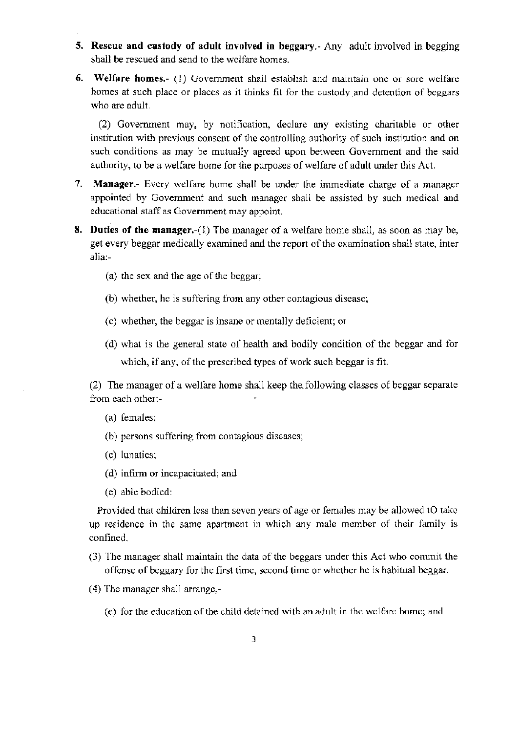- 5. Rescue and custody of adult involved in beggary.- Any adult involved in begging shall be rescued and send to the welfare homes.
- 6. Welfare homes.- (1) Government shall establish and maintain one or sore welfare homes at such place or places as it thinks fit for the custody and detention of beggars who are adult.

(2) Govemment may, by nodfication, dcclarc any existing charitable or other institution with previous consent of the controlling authority of such institution and on such conditions as may be mutually agreed upon between Govemment and the said authority, to be a welfare home for the purposes of welfare of adult under this Act.

- 7. Manager.- Every welfare home shall be under the immediate charge of a manager appointed by Government and such manager shall be assisted by such medical and educational staff as Government may appoint.
- 8. Duties of the manager.-(1) The manager of a welfare home shall, as soon as may be, get every beggar medically examined and the report of the examination shall state, inter alia:-
	- (a) the sex and the age of the beggar;
	- (b) whether, he is suffering from any other contagious disease;
	- (c) whether, the beggar is insane or mentally deficient; or
	- (d) what is the general state of health and bodily condition of the beggar and for which, if any, of the prescribed types of work such beggar is fit.

(2) The manager of a welfare home shall keep the following classes of beggar separate from each other:-

- (a) females;
- (b) persons suffering from contagious diseases;
- (c) lunatics;
- (d) infirm or incapacitated; and
- (e) able bodied:

Provided that children less than seven years of age or females may be allowed tO take up residence in the same apartment in which any male member of their family is confined.

- (3) l he manager shall maintain the data of thc beggars under this Act who commit the offense of beggary for the first time, second time or whether he is habitual beggar.
- (4) The manager shall arrange,-
	- (e) for the education of the child detained with an adult in the welfare home; and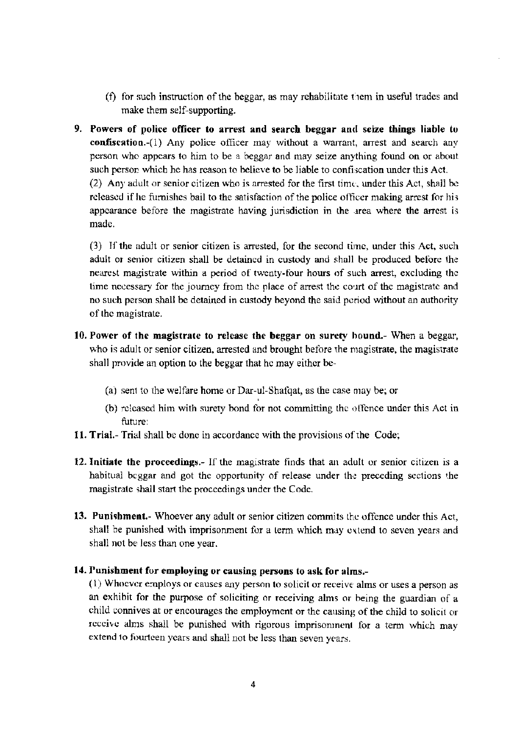- (f) for such instruction of the beggar, as may rehabilitate them in useful trades and make them self-supporting.
- 9. Powers of police officer to arrest and search beggar and seize things liable to confiscation.-(1) Any police officer may without a warrant, arrest and search any person who appears to him to be a beggar and may seize anything found on or about such person which he has reason to believe to be liable to confiscation under this Act. (2) Any adult or senior citizen who is arrested for the first time, under this Act, shall be released if he furnishes bail to the satisfaction of the police officer making arrest for his appearance before the magistrate having jurisdiction in the area where the arrest is made.

(3) If the adult or senior citizen is arrested, for the second time, under this Act, such adult or senior citizen shall be detained in custody and shall be produced before the nearest magistrate within a period of twenty-four hours of such arrest, excluding the time necessary for the journey from the place of arrest the court of the magistrate and no such person shall be detained in custody beyond the said period without an authority of the magistrate.

- 10. Power of the magistrate to release the beggar on surety hound.- When a beggar, who is adult or senior citizen, arrested and brought before the magistrate, the magistrate shall provide an option to the beggar that he may either be-
	- (a) sent to the welfare home or Dar-ul-Shafqat, as the case may be; or
	- (b) released him with surety bond for not committing the offence under this Act in future:
- 11. Trial.- Trial shall be done in accordance with the provisions of the Code;
- 12. Initiate the proceedings.- If the magistrate finds that an adult or senior citizen is a habitual beggar and got the opportunity of release under the preceding sections the magistrate shall start the proceedings under the Code.
- 13. Punishment. Whoever any adult or senior citizen commits the offence under this Act, shall be punished with imprisonment for a term which may extend to seven years and shall not be less than one year.

## 14. Punishment for employing or causing persons to ask for alms.-

(1) Whoever employs or causes any person to solicit or receive alms or uses a person as an exhibit for the purpose of soliciting or receiving alms or being the guardian of a child connives at or encourages the employment or the causing of the child to solicit or receive alms shall be punished with rigorous imprisonment for a term which may extend to fourteen years and shall not be less than seven years.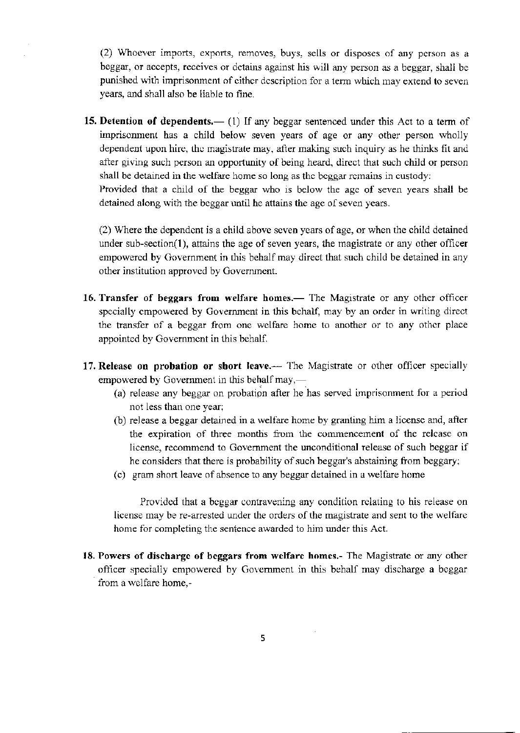$(2)$  Whoever imports, exports, removes, buys. sells or disposes of any person as a beggar, or accepts, receives or detains against his will any person as a beggar, shall bc punished with imprisonment of either description for a term which may extend to seven years, aad shall also be liable to fine.

15. Detention of dependents.— (1) If any beggar sentenced under this Act to a term of imprisonment has a child below seven years of age or any other person wholly dependent upon hire, the magistrate may, after making such inquiry as he thinks fit and after giving such person an opportunity of being heard, direct that such child or person shall be detained in the welfare home so long as the beggar remains in custody: Provided that a child of the beggar who is below the agc of seven years shall be detained along with the beggar until he attains the age of seven years.

 $(2)$  Where the dependent is a child above seven years of age, or when the child detained under sub-section(l), attains the age of seven years, the magistate or any other officer empowered by Government in this behalf may direct that such child be detained in any other institution approved by Government.

- 16. Transfer of beggars from welfare homes.— The Magistrate or any other officer specially empowered by Government in this behalf, may by an order in writing direct the transfer of a beggar from one welfare home to another or to any other place appointed by Government in this behalf.
- 17. Release on probation or short leave.-- The Magistrate or other officer specially empowered by Government in this behalf may,—
	- (a) release any beggar on probation after he has served imprisonment for a period not less than one year;
	- (b) release a beggar detained in a welfare home by granting him a license and, after the expiration of three months from the commencement of the release on license, recommend to Government the unconditional release of such beggar if he considers that there is probability of such beggar's abstaining from beggary;
	- (c) gram short leave of absence to any beggar detained in a welfare home

Provided that a beggar contravening any condition relating to his release on license may be re-arrested under the orders of the magistrate and sent to the welfare home for completing the sentence awarded to him under this Act.

18. Powers of discharge of beggars from welfare homes.- The Magistrate or any other officer specially empowered by Government in this behalf may discharge a beggar from a welfare home.-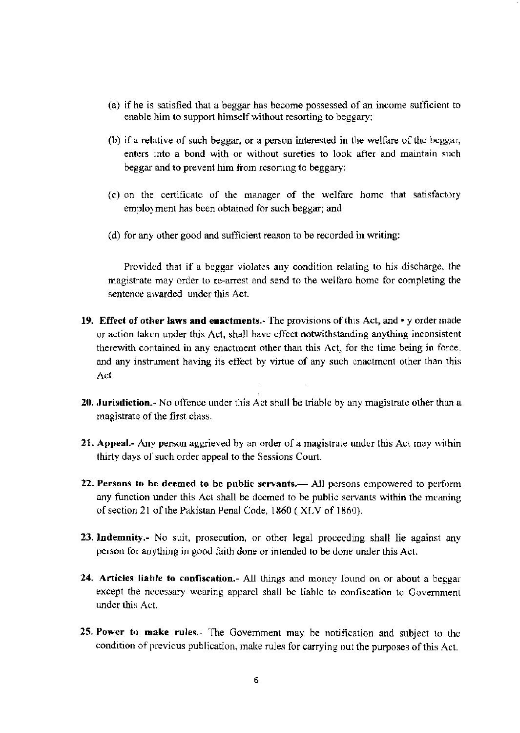- (a) if he is satisfied that a beggar has become possessed of an income sufficient to enable him to support himself without resorting to beggary;
- (b) if a relative of such beggar, or a person interested in the welfare of the beggar, enters into a bond with or without sureties to look after and maintain such beggar and to prevent him from resorting to beggary;
- (c) on the certificate of the manager of the welfare home that satisfactory employment has been obtained for such beggar; and
- (d) for any other good and sufficient reason to be recorded in writing:

Provided that if a beggar violates any condition relating to his discharge, the magistrate may order to re-arrest and send to the welfare home for completing the sentence awarded under this Act.

- 19. Effect of other laws and enactments. The provisions of this Act, and y order made or action taken under this Act, shall have effect notwithstanding anything inconsistent therewith contained in any enactment other than this Act, for the time being in force, and any instrument having its effect by virtue of any such enactment other than this Act.
- 20. Jurisdiction.- No offence under this Act shall be triable by any magistrate other than a magistrate of the first class.
- 21. Appeal.- Any person aggrieved by an order of a magistrate under this Act may within thirty days of such order appeal to the Sessions Court.
- 22. Persons to be deemed to be public servants.— All persons empowered to perform any function under this Act shall be deemed to be public servants within the meaning of section 21 of the Pakistan Penal Code, 1860 (XLV of 1860).
- 23. Indemnity.- No suit, prosecution, or other legal proceeding shall lie against any person for anything in good faith done or intended to be done under this Act.
- 24. Articles liable to confiscation. All things and money found on or about a beggar except the necessary wearing apparel shall be liable to confiscation to Government under this Act.
- 25. Power to make rules.- The Government may be notification and subject to the condition of previous publication, make rules for carrying out the purposes of this Act.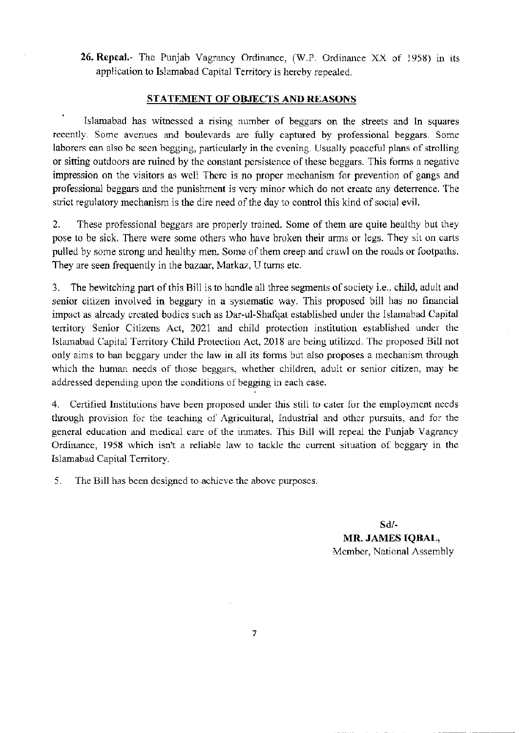26. Repeal.- The Punjab Vagrancy Ordinance,  $(W.P.$  Ordinance  $XX$  of 1958) in its application to Islamabad Capital Territory is hereby repealed.

## STATEMENT OF OBJECTS AND REASONS

Islamabad has witnessed a rising number of beggars on the streets and In squares recentlv. Some avenues and boulevards are fully captured by professional beggars. Some laborers can also be seen begging, particularly in the evening. Usually pcaceful plans of strolling or sitting outdoors are ruined by the constant persistence of these beggars. This forms a negative impression on the visitors as well There is no proper mechanism for prevention of gangs and professional beggars and the punishment is very minor which do not create any deterrence. The strict regulatory mechanism is the dire need of the day to control this kind of social evil.

2. These professional beggars are properly trained. Some of them are quite healthy but they pose to be sick. There were some others who have broken their arms or legs. They sit on carts pulled by some strong and healthy men. Some of them creep and crawl on the roads or footpaths. They are seen frequently in the bazaar, Markaz, U turns etc.

3. The beuitchjng pafi of thjs Bill is to handle all three segments of sociefy i.e., child, adult and senior citizen involved in beggary in a systematic way. This proposed bill has no financial impact as already created bodics such as Dar-ul-Shafqat established under the Islamabad Capital territory Senior Citizens Act, 2021 and child protection institution established under the Islamabad Capital Territory Child Protection Act, 2018 are being utilized. The proposed Bill not only aims to ban beggary under the law in all its forms but also proposes a mechanism through which the human needs of those beggars, whether children, adult or senior citizen, may be addressed depending upon the conditions of begging in each case.

4. Certified Institutions have been proposed under this still to cater for the employment needs through provision for the teaching of Agricultural, Industrial and other pursuits, and for the general education and medical care of the inmates. This Bill will repeal the Punjab Vagrancy Ordinance, 1958 which isn't a reliable law to tackle the current situation of beggary in the Islamabad Capital Territory.

5. The Bill has been designed to achieve the above purposes.

sd/- MR. JAMES TQBAL, Member, National Assembly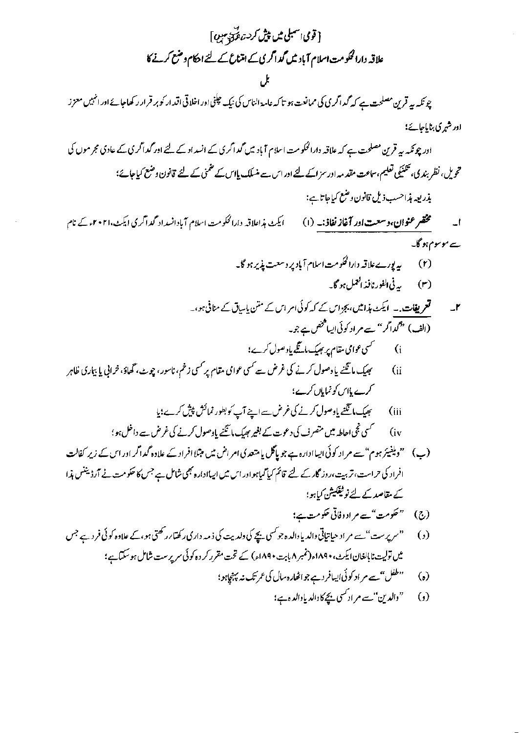$$
\begin{aligned}\n & \text{if } \mathcal{F}_1 \text{ and } \mathcal{F}_2 \text{ and } \mathcal{F}_3 \text{ and } \mathcal{F}_4 \text{ and } \mathcal{F}_5 \text{ are } \mathcal{F}_6 \text{ and } \mathcal{F}_7 \text{ and } \mathcal{F}_8 \text{ are } \mathcal{F}_9 \text{ and } \mathcal{F}_9 \text{ and } \mathcal{F}_9 \text{ are } \mathcal{F}_9 \text{ and } \mathcal{F}_9 \text{ and } \mathcal{F}_9 \text{ are } \mathcal{F}_9 \text{ and } \mathcal{F}_9 \text{ and } \mathcal{F}_9 \text{ are } \mathcal{F}_9 \text{ and } \mathcal{F}_9 \text{ are } \mathcal{F}_9 \text{ and } \mathcal{F}_9 \text{ are } \mathcal{F}_9 \text{ and } \mathcal{F}_9 \text{ are } \mathcal{F}_9 \text{ and } \mathcal{F}_9 \text{ are } \mathcal{F}_9 \text{ and } \mathcal{F}_9 \text{ are } \mathcal{F}_9 \text{ and } \mathcal{F}_9 \text{ are } \mathcal{F}_9 \text{ and } \mathcal{F}_9 \text{ are } \mathcal{F}_9 \text{ and } \mathcal{F}_9 \text{ are } \mathcal{F}_9 \text{ and } \mathcal{F}_9 \text{ are } \mathcal{F}_9 \text{ and } \mathcal{F}_9 \text{ are } \mathcal{F}_9 \text{ and } \mathcal{F}_9 \text{ are } \mathcal{F}_9 \text{ and } \mathcal{F}_9 \text{ are } \mathcal{F}_9 \text{ and } \mathcal{F}_9 \text{ are } \mathcal{F}_9 \text{ and } \mathcal{F}_9 \text{ are } \mathcal{F}_9 \text{ and } \mathcal{F}_9 \text{ are } \mathcal{F}_9 \text{ and } \mathcal{F}_9 \text{ are } \mathcal{F}_9 \text{ and } \mathcal{F}_9 \text{ are } \mathcal{F}_9 \text{ and } \mathcal{F}_9 \text{ are } \mathcal{F}_9 \text{ and } \mathcal{F}_9 \text{ are } \mathcal{F}_9 \text{ and } \mathcal{F}_9 \text{ are } \mathcal{F}_9 \text{ and } \mathcal{F}_9 \text{ are } \mathcal{F}_9 \text{ and } \mathcal{F}_9 \text{ are } \mathcal{F}_9 \text{ and } \mathcal
$$

 $\sim$ 

 $\mathcal{A}^{\mathcal{A}}$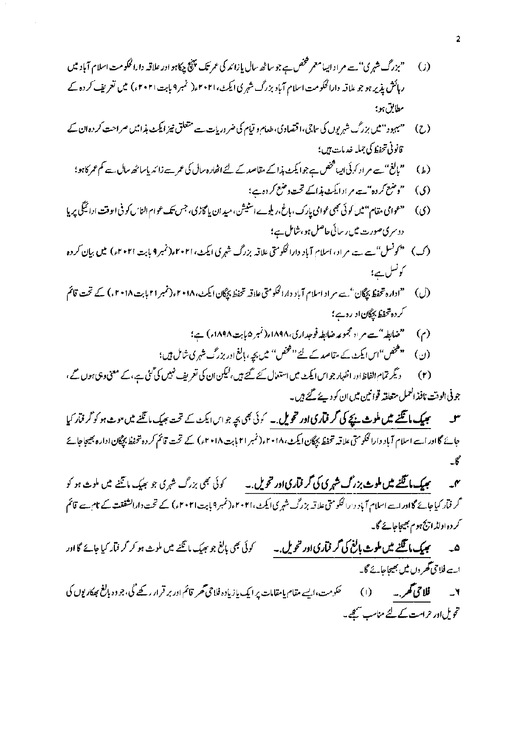- ۔"بزرگ شہ<sub>ر</sub>ی"۔ہے مر اد اپیامعمر شخص ہے جو ساٹھ سال پازائد کی عمر تک پننچ چکاہو اور علاقہ دارالحکومت اسلام آباد میں  $\left($   $\right)$ ر ہائش پذیر ہو جو بلاقہ دارالحکومت اسلام آباد بزرگ شہر کی ایکٹ،۲۰۲۱ء( نمبر ۹ بابت ۲۰۲۱ء) میں تعریف کر دہ کے مطابق ہو؛
- ۔ "میہود" میں بزرگ شہریوں کی ساتھ، اقتصاد کی، طعام و قیام کی ضروریات ہے متعلق نیز ایکٹ ہذا ہیں صراحت کر دہ ان کے  $(7)$ قانونى تىخفط كى جىلە خدمات بىن؛
	- "بالغ" سے مر اد کہ ئی ایپا فتحص ہے جو ایکٹ ہذا کے مقاصد کے لئے اٹھارہ سال کی عمر سے زائد پاساٹھ سال ہے کم عمر کاہو؛  $(L)$ 
		- ''وضع کر دہ"ہے م ادا یکٹ مذاکے تحت دضع کر دہے؛  $\zeta$
- ۔ "عوامی مقام "میں کوئی بھی عوامی پارک، پاغ،ریلوے اسٹیشن، میدان پامچاڑی، جس <del>ب</del>یک عوام الناس کو فی ایوقت ادائیگی پر پا  $\omega$ دوسری صورت میں رسائی حاصل ہو،شامل ہے؛
- (ک) ۔ "کونسل"ہے ہے مراد، اسلام آباد دارالحکومتی علاقہ بزرگ شہری ایکٹ، ۲۰۲۱ء(نمبر9 بابت ۲۰۲۱ء) میں بیان کر دہ کونسل ہے؛
- (ل) صمح ادارہ تحفظ بچگان' ہے مراد اسلام آباد دارالحکومتی علاقہ تحفظ بچگان ایکٹ، ۲۰۱۸ء(نمبر ۲۱۱ بابت ۲۰۱۸ء) کے تحت قائم کر دہ تحفظ بیگان او رہ ہے **؛** 
	- "ضابطہ"ہے م اد مجموعہ ضابطہ فوجداری،۱۸۹۸ء(نمبر ۵بابت ۱۸۹۸ء) ہے؛  $\left(\gamma\right)$
	- (ن) سینتخص"اس ایکٹ کے مقاصد کے لئے''مخض'' میں بچہ ، ہالغ اور بزرگ شہر کی شامل ہیں؛
- دیگر تمام الفاظ اور اظہار جو اس ایکٹ میں استعمال کئے گئے ہیں،لیکن ان کی تعریف نہیں کی گئی ہے،کے معنی وہی ہوں گے،  $(r)$ جو ٹی الوقت نافذ العمل متعلقہ قوائین میں ان کو دیئے گئے ہیں۔
- **سیمیک مانگنے میں ملوث نیچے کی گرفآری اور تحویل ۔** سوئی بھی بچہ جو اس ایکٹ کے تحت بھیک مانگنے میں موت ہو کو گرفآر کیا س حائے گا اور اسے اسلام آباد دارالحکومتی علاقیہ تحفظ بیچگان ایکٹ، ۲۰۱۸ء(نمبر ۲۱۱بابت ۲۰۱۸ء) کے تحت قائم کر دہ نتحفظ بچگان ادارہ بھیجاجائے گل

**سچیک مانگنے میں ملوث بزرگ شہری کی گر قیاری اور خویل ۔** کوئی نجی بزرگ شہری جو سچیک مانگنے میں ملوث ہو کو  $\mathcal{N}$ گر فیآر کیا جائے گااور اسے اسلام آباد دارالحکومتی علاقہ بزرگ شہری ایکٹ،۲۰۲۱، (نمبر 9 بابت ۲۰۲۱ء) کے تحت دارالشفقت کے نام سے قائم کر دہ اولڈ ایج ہوم بھیجاجائے گا۔

- کوئی بھی پالغ جو بھیک ما تگنے میں ملوث ہو کر گر فیار کیا جائے گااور ھ ۔ سمیک مانگنے میں ملوث بالنے کی گر فماری اور تحویل ۔ ۔ اے فلاحی گھر دن میں بھیجاجائے گا۔
- ۲۔ قلاحی محمر۔ (۱) حکومت، ایسے مقام یامقامات پر ایک پازیادہ فلاحی محمر قائم اور بر قرار رکھے گی، جو دوبالغ ہوکاریوں کی تحویل اور حراست کے لئے مناسب سمجھے۔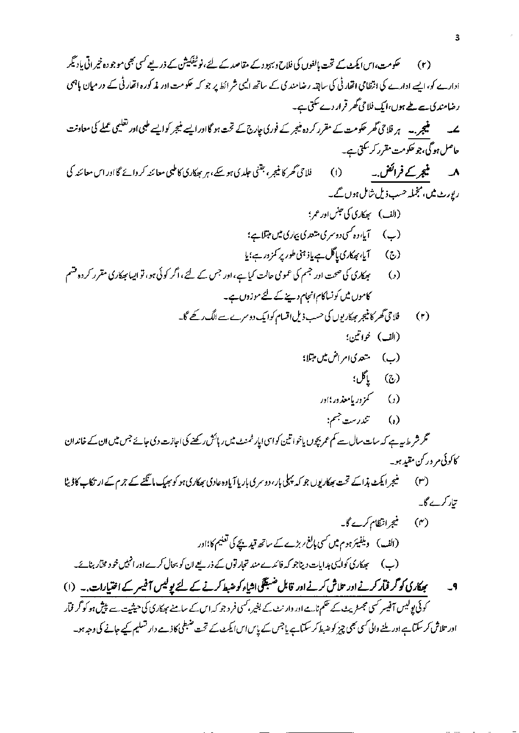$\hat{\vec{r}}$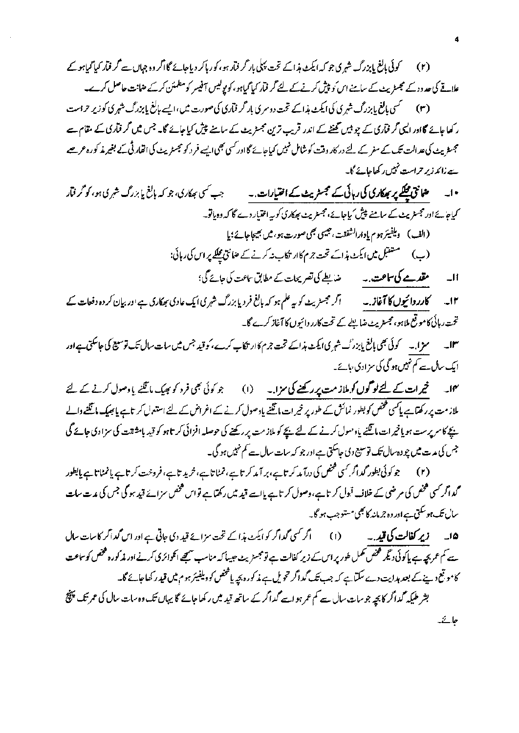(۲) کوئی مانغ بابزرگ شہری جو کہ ایکٹ ہذاکے تحت پہلی بار گر فیار ہو، کو رہاکر دیاجائے گا اگر وہ جہاں سے **گر فیار کیا گیاہو کے** علاقے کی حد دد کے مجسٹریٹ کے سامنے اس ٗو پیش کرنے کے لئے گر فمار کیا گیاہو، کو یولیس آفیسر کومطمئن کرکے ضانت حاصل کرے۔ (۳) سمسمی بالغ بابزرگ شہری کی ایکٹ ہذاکے تحت دوسری بار <sup>م</sup>ر فیآری کی صورت میں،ایسے بالغ پابزرگ شہری کوزیر حراست

ر کھاجائے گااور ایسی گر فمآری کے چو بیں تھنٹے کے اندر قریب ترین مجسٹریٹ کے سامنے پیش کیاجائے گا۔ جس میں گر فمآری کے مقام سے مجسٹر پٹ کی عد الت تک کے سفر کے لئے در کار وقت کوشامل نہیں کیاجائے گا اور کسی بھی ایسے فر د کو مجسٹریٹ کی اقفار ٹی کے بغیر مذکورہ عرصے ے رائد زیر حراست نہیں رکھاجائے گا۔

• ا۔ میں <del>فعالی پر بھکاری کی</del> رہائی کے مجسٹر پیٹ کے **اختیارات** ۔۔ جب کسی بھکاری، جو کہ بالغ یا بزرگ شہری ہو، کو <sup>م</sup>ر فآر کیاجائے اور مجسٹر بیٹ کے سامنے پیش کیاجائے،مجسٹریٹ بھکاری کو بیہ اختیار دے گا کہ وہ یاتو۔ (الف) ويلفيئر ہوم يادارالشفقت، جيسي بھي صورت ہو، ميں بھيجاجائے؛ يا (ب) مستقبل میں ایکٹ ہذائے تحت جرم کاار تکاب نہ کرنے کے عنائق مجلکے پر اس کی رہائی:

مقدمے کی ساحت،۔ ضابطے کی تصریحات کے مطابق ساعت کی جائے گی؛  $\overline{\phantom{a}}$ 

۱۳۔ کا**رر دائیوں کا آغاز۔۔ م**یں اگر مجسٹریٹ کو بہ علم ہو کہ بالغ فردیا بزرگ شہری ایک عادی مہمکاری ہے اور بیان کر دہ دفعات کے تحت رہائی کاموقع ملاہو،مجسٹریٹ ضابطے کے تحت کارر دائیوں کا آغاز کرے گا۔

سمرا .۔ کوئی بھی پالغ پابزر ٹ شہری ایکٹ ہذاکے تحت جرم کاار تکاب کرے، کو قید جس میں سات سال تک توسیع کی جاسکتی ہے اور  $\mathsf{J} \mathsf{I}^\mathsf{P}$ ایک سال سے کم نہیں ہو گی کی سز ادی عائے۔

مہما۔ نجیرات کے لیے لو**گوں ک**و ملاز مت پر رکھنے کی سزا۔ (۱) جو کوئی بھی فرد کو بھیک مانگنے یا دصول کرنے کے لیے ملاز مت پر رکھتا ہے پاکسی فتحص کو بطور نمائش کے طور پر خیر ات مانگنے یاد صول کرنے کے اغراض کے لئے استعمال کر تاہے پانچھیک مانگنے والے یچے کاسر پرست ہویانیر ات ماتینے یاد معول کرنے کے لئے بچے کو ملازمت پر رکھنے کی حوصلہ افزائی کر تاہو کو قید بامشقت کی سزادی جائے گی جس کی مدت میں چو دہ سال تک توسیع دی جاسکتی ہے اور جو کہ سات سال ہے کم نہیں ہو گی۔

(۲) جو کوئی بطور گداگر کسی فحض کی درآمد کر تاہے ، بر آمد کر تاہے ، نمٹا تاہے ، خرید تاہے ، فروخت کر تاہے پاسچ کی بالطور مممدا گر کسی کھخص کی مرضی کے خلاف <sup>ق</sup>بول کر تاہے،وصول کر تاہے <u>ہا</u> ہے قید میں رکھتا ہے تواس کھخص سزائے قید ہو گی جس کی مدت سات سال تک ہوسکتی ہے اور وہ جرمانہ کا بھی مستوجب ہو گا۔

۱۵۔ زیر کفا**لت کی قید** ۔۔ (۱) گر کسی گداگر کو ایکٹ ہذا کے تحت سزائے قید دی جاتی ہے اور اس گداگر کاسات سال سے کم عمر بچہ ہے پاکوئی دیگر فتخص تممل طور پر اس کے زیر کفالت ہے تو مجسڑیٹ جیسا کہ مناسب سیتھے انگوائری کرنے اور مذکورہ فتخص کوساعت کامو تعج دینے کے بعد ہدایت دے سکتاہے کہ جب تک گداگر حمح یل ہے مذکورہ بچہ یا فتحص کو دیلفیئر ہوم میں قید ر کھاجائے گا۔ بشر طیکہ گداگر کا بچہ جو سات سال سے کم عمر ہو اسے گداگر کے ساتھ قید میں رکھا جائے گا پہاں تک وہ سات سال کی عمر تک پہنچ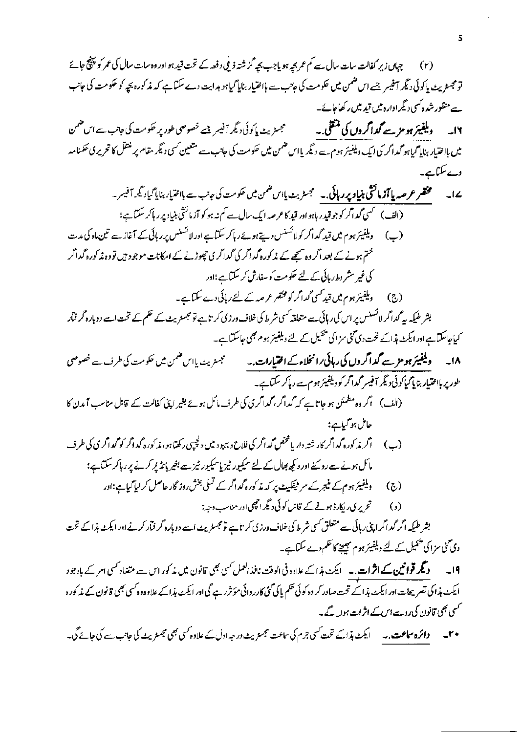7.7   
\n4. 
$$
5\sqrt{2}
$$
  $3\sqrt{2}$   $4\sqrt{2}$   $4\sqrt{2}$   $5\sqrt{2}$   $6\sqrt{2}$   $3\sqrt{2}$   $6\sqrt{2}$   $6\sqrt{2}$   $3\sqrt{2}$   $6\sqrt{2}$   $6\sqrt{2}$   $6\sqrt{2}$   $3\sqrt{2}$   $6\sqrt{2}$   $3\sqrt{2}$   $6\sqrt{2}$   $3\sqrt{2}$   $6\sqrt{2}$   $6\sqrt{2}$   $6\sqrt{2}$   $6\sqrt{2}$   $6\sqrt{2}$   $6\sqrt{2}$   $6\sqrt{2}$   $6\sqrt{2}$   $6\sqrt{2}$   $6\sqrt{2}$   $6\sqrt{2}$   $6\sqrt{2}$   $6\sqrt{2}$   $6\sqrt{2}$   $6\sqrt{2}$   $6\sqrt{2}$   $6\sqrt{2}$   $6\sqrt{2}$   $6\sqrt{2}$   $6\sqrt{2}$   $6\sqrt{2}$   $6\sqrt{2}$   $6\sqrt{2}$   $6\sqrt{2}$   $6\sqrt{2}$   $6\sqrt{2}$   $6\sqrt{2}$   $6\sqrt{2}$   $6\sqrt{2}$   $6\sqrt{2}$   $6\sqrt{2}$   $6\sqrt{2}$   $6\sqrt{2}$   $6\sqrt{2}$   $6\sqrt{2}$   $6\sqrt{2}$   $6\sqrt{2}$   $6\sqrt{2}$   $6\sqrt{2}$   $6\sqrt{2}$   $6\sqrt{2}$   $6\sqrt{2}$   $6\sqrt{2}$   $6\sqrt{2}$   $6\sqrt{2}$   $6\sqrt{2}$   $6\sqrt{2}$   $6\sqrt{2}$   $6\sqrt{2}$   $6\sqrt{2}$   $6\sqrt$ 

 $\cdot$ 

 $\overline{\mathbf{5}}$